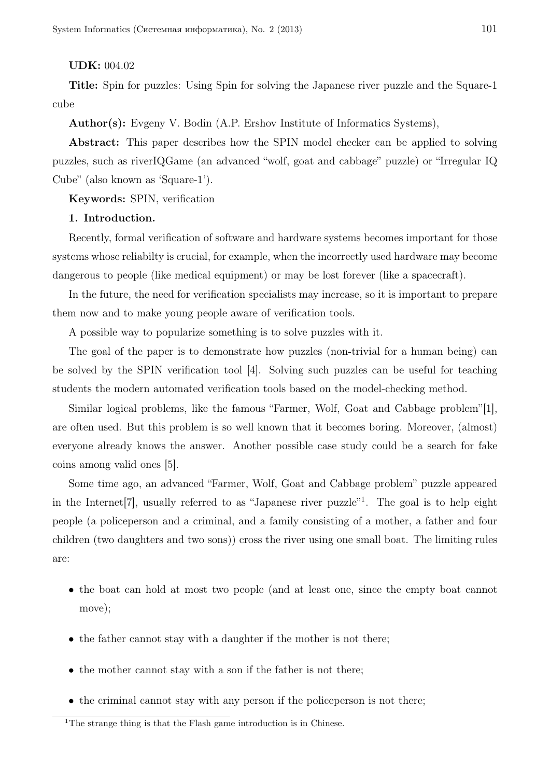# UDK: 004.02

Title: Spin for puzzles: Using Spin for solving the Japanese river puzzle and the Square-1 cube

Author(s): Evgeny V. Bodin (A.P. Ershov Institute of Informatics Systems),

Abstract: This paper describes how the SPIN model checker can be applied to solving puzzles, such as riverIQGame (an advanced "wolf, goat and cabbage" puzzle) or "Irregular IQ Cube" (also known as 'Square-1').

Keywords: SPIN, verification

#### 1. Introduction.

Recently, formal verification of software and hardware systems becomes important for those systems whose reliabilty is crucial, for example, when the incorrectly used hardware may become dangerous to people (like medical equipment) or may be lost forever (like a spacecraft).

In the future, the need for verification specialists may increase, so it is important to prepare them now and to make young people aware of verification tools.

A possible way to popularize something is to solve puzzles with it.

The goal of the paper is to demonstrate how puzzles (non-trivial for a human being) can be solved by the SPIN verification tool [4]. Solving such puzzles can be useful for teaching students the modern automated verification tools based on the model-checking method.

Similar logical problems, like the famous "Farmer, Wolf, Goat and Cabbage problem"[1], are often used. But this problem is so well known that it becomes boring. Moreover, (almost) everyone already knows the answer. Another possible case study could be a search for fake coins among valid ones [5].

Some time ago, an advanced "Farmer, Wolf, Goat and Cabbage problem" puzzle appeared in the Internet<sup>[7]</sup>, usually referred to as "Japanese river puzzle"<sup>1</sup>. The goal is to help eight people (a policeperson and a criminal, and a family consisting of a mother, a father and four children (two daughters and two sons)) cross the river using one small boat. The limiting rules are:

- the boat can hold at most two people (and at least one, since the empty boat cannot move);
- the father cannot stay with a daughter if the mother is not there;
- the mother cannot stay with a son if the father is not there;
- the criminal cannot stay with any person if the policeperson is not there;

<sup>&</sup>lt;sup>1</sup>The strange thing is that the Flash game introduction is in Chinese.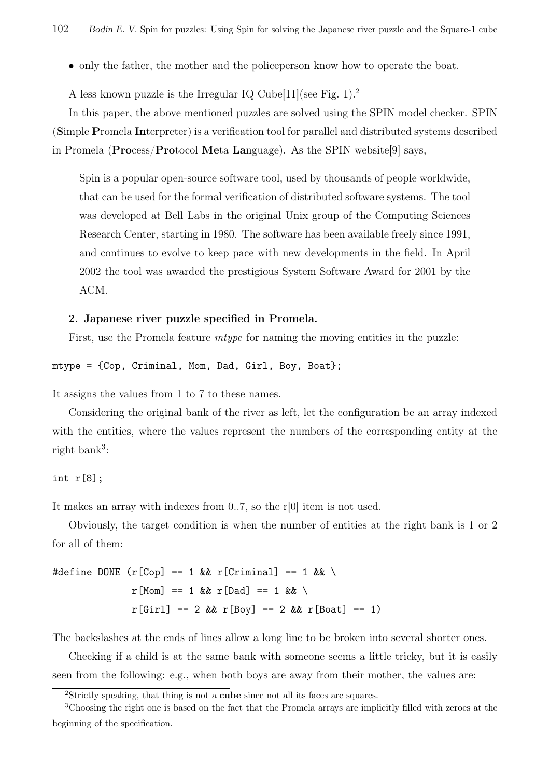• only the father, the mother and the policeperson know how to operate the boat.

A less known puzzle is the Irregular IQ Cube  $[11]$  (see Fig. 1).<sup>2</sup>

In this paper, the above mentioned puzzles are solved using the SPIN model checker. SPIN (Simple Promela Interpreter) is a verification tool for parallel and distributed systems described in Promela (Process/Protocol Meta Language). As the SPIN website[9] says,

Spin is a popular open-source software tool, used by thousands of people worldwide, that can be used for the formal verification of distributed software systems. The tool was developed at Bell Labs in the original Unix group of the Computing Sciences Research Center, starting in 1980. The software has been available freely since 1991, and continues to evolve to keep pace with new developments in the field. In April 2002 the tool was awarded the prestigious System Software Award for 2001 by the ACM.

#### 2. Japanese river puzzle specified in Promela.

First, use the Promela feature *mtype* for naming the moving entities in the puzzle:

mtype = {Cop, Criminal, Mom, Dad, Girl, Boy, Boat};

It assigns the values from 1 to 7 to these names.

Considering the original bank of the river as left, let the configuration be an array indexed with the entities, where the values represent the numbers of the corresponding entity at the right bank<sup>3</sup>:

int r[8];

It makes an array with indexes from 0..7, so the r[0] item is not used.

Obviously, the target condition is when the number of entities at the right bank is 1 or 2 for all of them:

#define DONE  $(r[Cop] == 1 \& x r[Criminal] == 1 \& x \$  $r[Mon] == 1$  &  $r[Dad] == 1$  &  $\setminus$  $r[Girl] == 2 \&r[Boy] == 2 \&r[Boat] == 1)$ 

The backslashes at the ends of lines allow a long line to be broken into several shorter ones.

Checking if a child is at the same bank with someone seems a little tricky, but it is easily seen from the following: e.g., when both boys are away from their mother, the values are:

<sup>&</sup>lt;sup>2</sup>Strictly speaking, that thing is not a **cube** since not all its faces are squares.

<sup>3</sup>Choosing the right one is based on the fact that the Promela arrays are implicitly filled with zeroes at the beginning of the specification.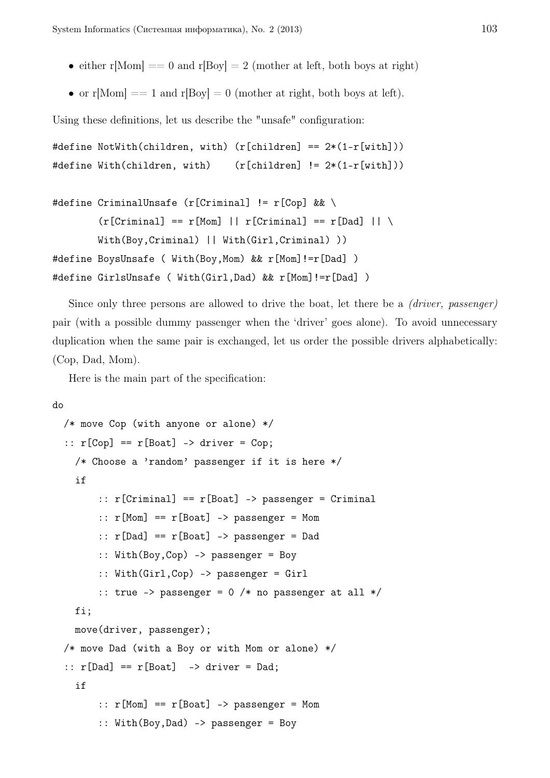- either  $r[\text{Mom}] = 0$  and  $r[\text{Boy}] = 2$  (mother at left, both boys at right)
- or  $r[\text{Mom}] = 1$  and  $r[\text{Boy}] = 0$  (mother at right, both boys at left).

Using these definitions, let us describe the "unsafe" configuration:

```
#define NotWith(children, with) (r[children] == 2*(1-r[with]))
#define With(children, with) (r[children] != 2*(1-r[with]))
```

```
#define CriminalUnsafe (r[Criminal] != r[Cop] && \
        (r[Criminal] == r[Mon] || r[Criminal] == r[Dad] || \setminusWith(Boy, Criminal) || With(Girl, Criminal) ))
#define BoysUnsafe ( With(Boy,Mom) && r[Mom]!=r[Dad] )
#define GirlsUnsafe ( With(Girl,Dad) && r[Mom]!=r[Dad] )
```
Since only three persons are allowed to drive the boat, let there be a *(driver, passenger)* pair (with a possible dummy passenger when the 'driver' goes alone). To avoid unnecessary duplication when the same pair is exchanged, let us order the possible drivers alphabetically: (Cop, Dad, Mom).

Here is the main part of the specification:

```
do
  /* move Cop (with anyone or alone) */
  :: r[Cop] == r[Boat] -> driver = Cop;/* Choose a 'random' passenger if it is here */
    if
        \therefore r[Criminal] == r[Boat] -> passenger = Criminal
        :: r[Mom] == r[Boat] -> passenger = Mom\therefore r[Dad] == r[Boat] -> passenger = Dad
        :: With(Boy,Cop) -> passenger = Boy
        :: With(Girl,Cop) -> passenger = Girl
        :: true -> passenger = 0 /* no passenger at all */fi;
    move(driver, passenger);
  /* move Dad (with a Boy or with Mom or alone) */
  :: r[Dad] == r[Boat] -> driver = Dad;if
        :: r[Mon] == r[Boat] -> passenger = Mom:: With(Boy,Dad) -> passenger = Boy
```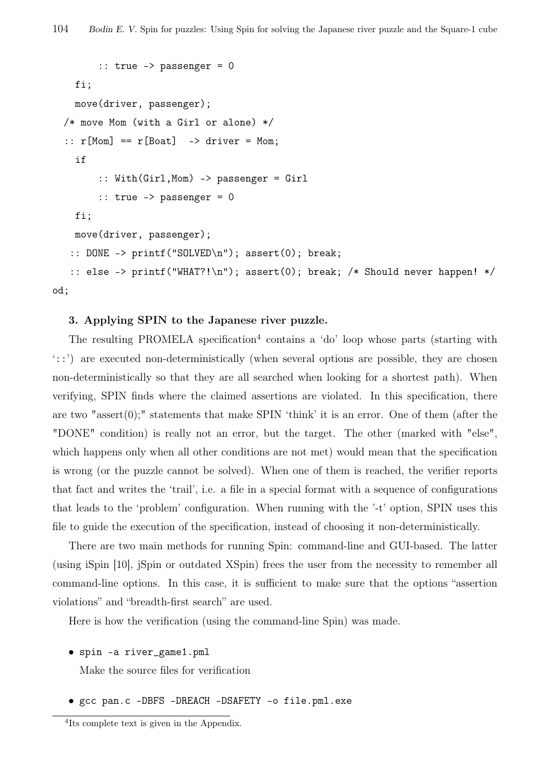```
:: true -> passenger = 0
    fi;
    move(driver, passenger);
  /* move Mom (with a Girl or alone) */
  :: r[Mon] == r[Boat] -> driver = Mom;if
        :: With(Girl,Mom) -> passenger = Girl
        \therefore true -> passenger = 0
    fi;
   move(driver, passenger);
   :: DONE -> printf("SOLVED\n"); assert(0); break;
   :: else -> printf("WHAT?!\n"); assert(0); break; /* Should never happen! */
od;
```
#### 3. Applying SPIN to the Japanese river puzzle.

The resulting PROMELA specification<sup>4</sup> contains a 'do' loop whose parts (starting with '::') are executed non-deterministically (when several options are possible, they are chosen non-deterministically so that they are all searched when looking for a shortest path). When verifying, SPIN finds where the claimed assertions are violated. In this specification, there are two "assert $(0)$ ;" statements that make SPIN 'think' it is an error. One of them (after the "DONE" condition) is really not an error, but the target. The other (marked with "else", which happens only when all other conditions are not met) would mean that the specification is wrong (or the puzzle cannot be solved). When one of them is reached, the verifier reports that fact and writes the 'trail', i.e. a file in a special format with a sequence of configurations that leads to the 'problem' configuration. When running with the '-t' option, SPIN uses this file to guide the execution of the specification, instead of choosing it non-deterministically.

There are two main methods for running Spin: command-line and GUI-based. The latter (using iSpin [10], jSpin or outdated XSpin) frees the user from the necessity to remember all command-line options. In this case, it is sufficient to make sure that the options "assertion violations" and "breadth-first search" are used.

Here is how the verification (using the command-line Spin) was made.

*•* spin -a river\_game1.pml

Make the source files for verification

*•* gcc pan.c -DBFS -DREACH -DSAFETY -o file.pml.exe

<sup>4</sup> Its complete text is given in the Appendix.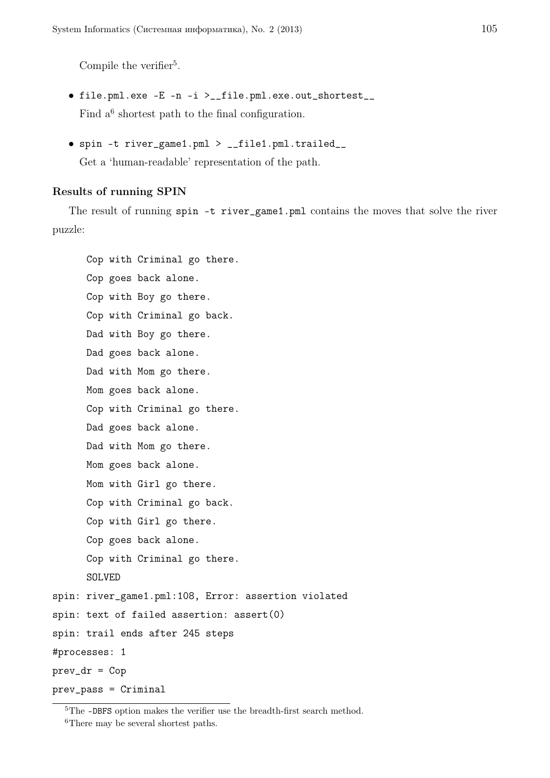Compile the verifier<sup>5</sup>.

- *•* file.pml.exe -E -n -i >\_\_file.pml.exe.out\_shortest\_\_ Find  $a^6$  shortest path to the final configuration.
- *•* spin -t river\_game1.pml > \_\_file1.pml.trailed\_\_

Get a 'human-readable' representation of the path.

# Results of running SPIN

The result of running spin -t river\_game1.pml contains the moves that solve the river puzzle:

```
Cop with Criminal go there.
      Cop goes back alone.
      Cop with Boy go there.
      Cop with Criminal go back.
      Dad with Boy go there.
      Dad goes back alone.
      Dad with Mom go there.
      Mom goes back alone.
      Cop with Criminal go there.
      Dad goes back alone.
      Dad with Mom go there.
      Mom goes back alone.
      Mom with Girl go there.
      Cop with Criminal go back.
      Cop with Girl go there.
      Cop goes back alone.
      Cop with Criminal go there.
      SOLVED
spin: river_game1.pml:108, Error: assertion violated
spin: text of failed assertion: assert(0)
spin: trail ends after 245 steps
#processes: 1
prev_dr = Cop
prev_pass = Criminal
```
 ${}^{5}\mathrm{The}$  -DBFS option makes the verifier use the breadth-first search method. <sup>6</sup>There may be several shortest paths.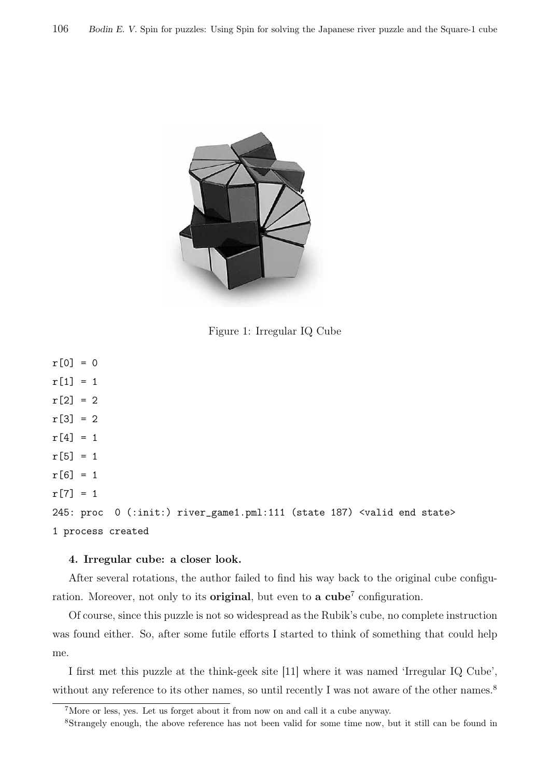

Figure 1: Irregular IQ Cube

```
r[0] = 0r[1] = 1r[2] = 2r[3] = 2r[4] = 1r[5] = 1r[6] = 1r[7] = 1245: proc 0 (:init:) river_game1.pml:111 (state 187) <valid end state>
1 process created
```
#### 4. Irregular cube: a closer look.

After several rotations, the author failed to find his way back to the original cube configuration. Moreover, not only to its **original**, but even to **a cube**<sup>7</sup> configuration.

Of course, since this puzzle is not so widespread as the Rubik's cube, no complete instruction was found either. So, after some futile efforts I started to think of something that could help me.

I first met this puzzle at the think-geek site [11] where it was named 'Irregular IQ Cube', without any reference to its other names, so until recently I was not aware of the other names.<sup>8</sup>

<sup>7</sup>More or less, yes. Let us forget about it from now on and call it a cube anyway.

<sup>8</sup>Strangely enough, the above reference has not been valid for some time now, but it still can be found in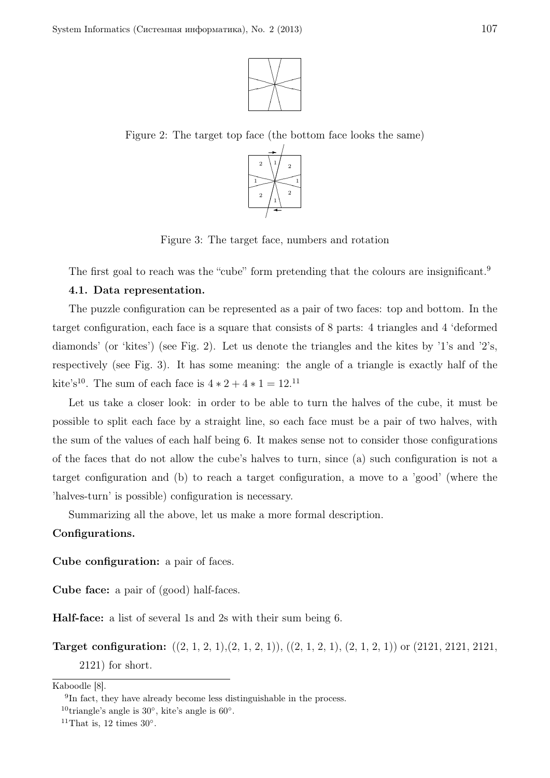

Figure 2: The target top face (the bottom face looks the same)



Figure 3: The target face, numbers and rotation

The first goal to reach was the "cube" form pretending that the colours are insignificant.<sup>9</sup>

# 4.1. Data representation.

The puzzle configuration can be represented as a pair of two faces: top and bottom. In the target configuration, each face is a square that consists of 8 parts: 4 triangles and 4 'deformed diamonds' (or 'kites') (see Fig. 2). Let us denote the triangles and the kites by '1's and '2's, respectively (see Fig. 3). It has some meaning: the angle of a triangle is exactly half of the kite's<sup>10</sup>. The sum of each face is  $4 * 2 + 4 * 1 = 12$ .<sup>11</sup>

Let us take a closer look: in order to be able to turn the halves of the cube, it must be possible to split each face by a straight line, so each face must be a pair of two halves, with the sum of the values of each half being 6. It makes sense not to consider those configurations of the faces that do not allow the cube's halves to turn, since (a) such configuration is not a target configuration and (b) to reach a target configuration, a move to a 'good' (where the 'halves-turn' is possible) configuration is necessary.

Summarizing all the above, let us make a more formal description.

#### Configurations.

Cube configuration: a pair of faces.

Cube face: a pair of (good) half-faces.

Half-face: a list of several 1s and 2s with their sum being 6.

Target configuration:  $((2, 1, 2, 1), (2, 1, 2, 1)), ((2, 1, 2, 1), (2, 1, 2, 1))$  or  $(2121, 2121, 2121, 2121, 2121, 2121, 2121, 2121, 2121, 2121, 2121, 2121, 2121, 2121, 2121, 2121, 2121, 2121, 2121, 2121, 2121, 2121, 2121, 2121,$ 2121) for short.

Kaboodle [8].

<sup>&</sup>lt;sup>9</sup>In fact, they have already become less distinguishable in the process.

<sup>10</sup>triangle's angle is 30*◦* , kite's angle is 60*◦* .

<sup>&</sup>lt;sup>11</sup>That is, 12 times  $30^\circ$ .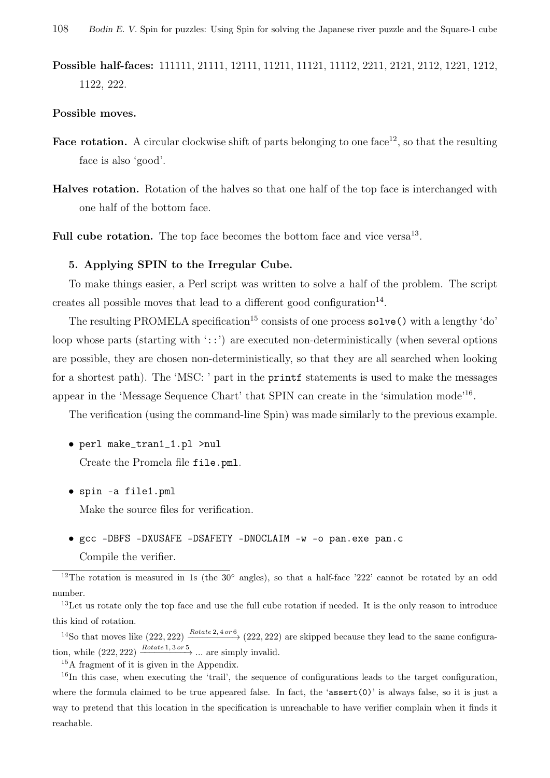Possible half-faces: 111111, 21111, 12111, 11211, 11121, 11112, 2211, 2121, 2112, 1221, 1212, 1122, 222.

#### Possible moves.

- **Face rotation.** A circular clockwise shift of parts belonging to one face<sup>12</sup>, so that the resulting face is also 'good'.
- Halves rotation. Rotation of the halves so that one half of the top face is interchanged with one half of the bottom face.

Full cube rotation. The top face becomes the bottom face and vice versa<sup>13</sup>.

#### 5. Applying SPIN to the Irregular Cube.

To make things easier, a Perl script was written to solve a half of the problem. The script creates all possible moves that lead to a different good configuration $^{14}$ .

The resulting PROMELA specification<sup>15</sup> consists of one process  $\texttt{solve}()$  with a lengthy 'do' loop whose parts (starting with '::') are executed non-deterministically (when several options are possible, they are chosen non-deterministically, so that they are all searched when looking for a shortest path). The 'MSC: ' part in the printf statements is used to make the messages appear in the 'Message Sequence Chart' that SPIN can create in the 'simulation mode'<sup>16</sup>.

The verification (using the command-line Spin) was made similarly to the previous example.

- *•* perl make\_tran1\_1.pl >nul Create the Promela file file.pml.
- *•* spin -a file1.pml

Make the source files for verification.

*•* gcc -DBFS -DXUSAFE -DSAFETY -DNOCLAIM -w -o pan.exe pan.c Compile the verifier.

<sup>12</sup>The rotation is measured in 1s (the 30<sup>°</sup> angles), so that a half-face '222' cannot be rotated by an odd number.

<sup>13</sup>Let us rotate only the top face and use the full cube rotation if needed. It is the only reason to introduce this kind of rotation.

<sup>14</sup>So that moves like  $(222, 222)$   $\frac{Rotate\ 2, 4\ or\ 6}{2}$   $(222, 222)$  are skipped because they lead to the same configuration, while  $(222, 222) \xrightarrow{Rotate 1, 3 \text{ or } 5} \dots$  are simply invalid.

<sup>15</sup>A fragment of it is given in the Appendix.

<sup>16</sup>In this case, when executing the 'trail', the sequence of configurations leads to the target configuration, where the formula claimed to be true appeared false. In fact, the 'assert(0)' is always false, so it is just a way to pretend that this location in the specification is unreachable to have verifier complain when it finds it reachable.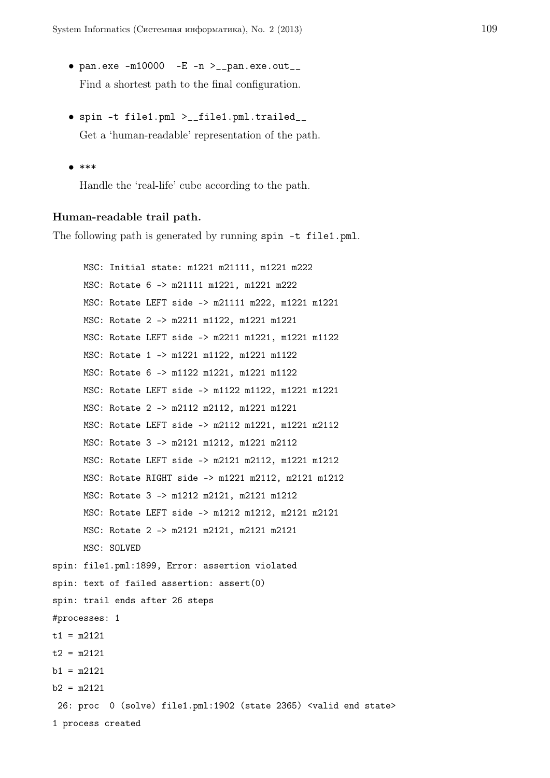- *•* pan.exe -m10000 -E -n >\_\_pan.exe.out\_\_ Find a shortest path to the final configuration.
- *•* spin -t file1.pml >\_\_file1.pml.trailed\_\_ Get a 'human-readable' representation of the path.
- *•* \*\*\*

Handle the 'real-life' cube according to the path.

# Human-readable trail path.

The following path is generated by running spin -t file1.pml.

MSC: Initial state: m1221 m21111, m1221 m222 MSC: Rotate 6 -> m21111 m1221, m1221 m222 MSC: Rotate LEFT side -> m21111 m222, m1221 m1221 MSC: Rotate 2 -> m2211 m1122, m1221 m1221 MSC: Rotate LEFT side -> m2211 m1221, m1221 m1122 MSC: Rotate 1 -> m1221 m1122, m1221 m1122 MSC: Rotate 6 -> m1122 m1221, m1221 m1122 MSC: Rotate LEFT side -> m1122 m1122, m1221 m1221 MSC: Rotate 2 -> m2112 m2112, m1221 m1221 MSC: Rotate LEFT side -> m2112 m1221, m1221 m2112 MSC: Rotate 3 -> m2121 m1212, m1221 m2112 MSC: Rotate LEFT side -> m2121 m2112, m1221 m1212 MSC: Rotate RIGHT side -> m1221 m2112, m2121 m1212 MSC: Rotate 3 -> m1212 m2121, m2121 m1212 MSC: Rotate LEFT side -> m1212 m1212, m2121 m2121 MSC: Rotate 2 -> m2121 m2121, m2121 m2121 MSC: SOLVED spin: file1.pml:1899, Error: assertion violated spin: text of failed assertion: assert(0) spin: trail ends after 26 steps #processes: 1  $t1 = m2121$  $t2 = m2121$  $b1 = m2121$  $b2 = m2121$ 26: proc 0 (solve) file1.pml:1902 (state 2365) <valid end state> 1 process created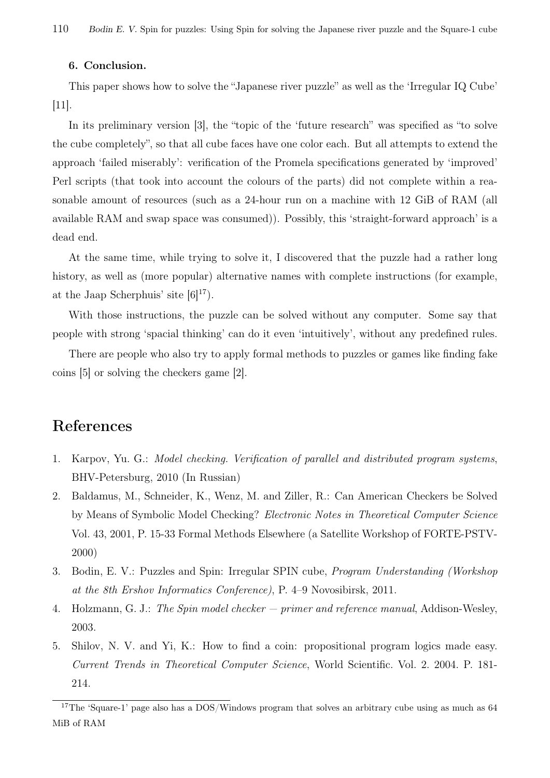# 6. Conclusion.

This paper shows how to solve the "Japanese river puzzle" as well as the 'Irregular IQ Cube'  $|11|$ .

In its preliminary version [3], the "topic of the 'future research" was specified as "to solve the cube completely", so that all cube faces have one color each. But all attempts to extend the approach 'failed miserably': verification of the Promela specifications generated by 'improved' Perl scripts (that took into account the colours of the parts) did not complete within a reasonable amount of resources (such as a 24-hour run on a machine with 12 GiB of RAM (all available RAM and swap space was consumed)). Possibly, this 'straight-forward approach' is a dead end.

At the same time, while trying to solve it, I discovered that the puzzle had a rather long history, as well as (more popular) alternative names with complete instructions (for example, at the Jaap Scherphuis' site  $[6]^{17}$ .

With those instructions, the puzzle can be solved without any computer. Some say that people with strong 'spacial thinking' can do it even 'intuitively', without any predefined rules.

There are people who also try to apply formal methods to puzzles or games like finding fake coins [5] or solving the checkers game [2].

# References

- 1. Karpov, Yu. G.: *Model checking. Verification of parallel and distributed program systems*, BHV-Petersburg, 2010 (In Russian)
- 2. Baldamus, M., Schneider, K., Wenz, M. and Ziller, R.: Can American Checkers be Solved by Means of Symbolic Model Checking? *Electronic Notes in Theoretical Computer Science* Vol. 43, 2001, P. 15-33 Formal Methods Elsewhere (a Satellite Workshop of FORTE-PSTV-2000)
- 3. Bodin, E. V.: Puzzles and Spin: Irregular SPIN cube, *Program Understanding (Workshop at the 8th Ershov Informatics Conference)*, P. 4–9 Novosibirsk, 2011.
- 4. Holzmann, G. J.: *The Spin model checker primer and reference manual*, Addison-Wesley, 2003.
- 5. Shilov, N. V. and Yi, K.: How to find a coin: propositional program logics made easy. *Current Trends in Theoretical Computer Science*, World Scientific. Vol. 2. 2004. P. 181- 214.

<sup>&</sup>lt;sup>17</sup>The 'Square-1' page also has a DOS/Windows program that solves an arbitrary cube using as much as 64 MiB of RAM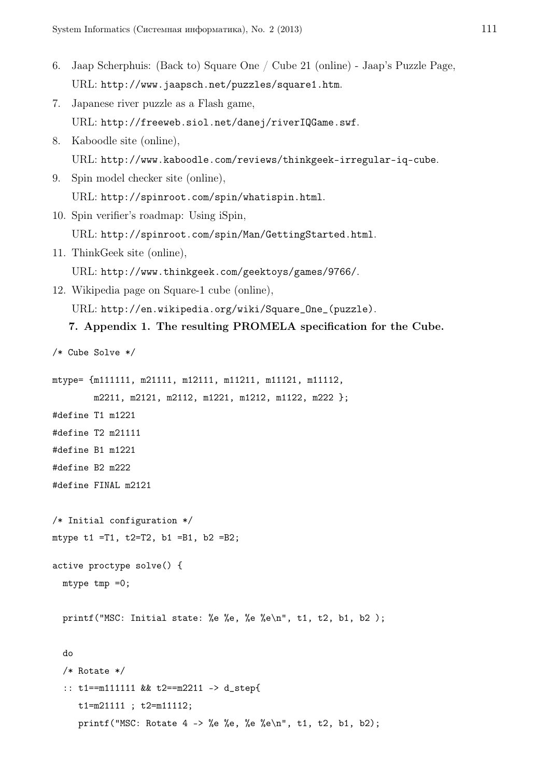```
6. Jaap Scherphuis: (Back to) Square One / Cube 21 (online) - Jaap's Puzzle Page,
   URL: http://www.jaapsch.net/puzzles/square1.htm.
7. Japanese river puzzle as a Flash game,
   URL: http://freeweb.siol.net/danej/riverIQGame.swf.
8. Kaboodle site (online),
   URL: http://www.kaboodle.com/reviews/thinkgeek-irregular-iq-cube.
9. Spin model checker site (online),
   URL: http://spinroot.com/spin/whatispin.html.
10. Spin verifier's roadmap: Using iSpin,
   URL: http://spinroot.com/spin/Man/GettingStarted.html.
11. ThinkGeek site (online),
   URL: http://www.thinkgeek.com/geektoys/games/9766/.
12. Wikipedia page on Square-1 cube (online),
   URL: http://en.wikipedia.org/wiki/Square_One_(puzzle).
   7. Appendix 1. The resulting PROMELA specification for the Cube.
/* Cube Solve */
mtype= {m111111, m21111, m12111, m11211, m11121, m11112,
       m2211, m2121, m2112, m1221, m1212, m1122, m222 };
#define T1 m1221
#define T2 m21111
#define B1 m1221
#define B2 m222
#define FINAL m2121
/* Initial configuration */
mtype t1 =T1, t2=T2, b1 =B1, b2 =B2;
active proctype solve() {
 mtype tmp =0;
 printf("MSC: Initial state: %e %e, %e %e\n", t1, t2, b1, b2 );
  do
  /* Rotate */
  :: t1==m111111 && t2==m2211 -> d_step{
     t1=m21111 ; t2=m11112;
    printf("MSC: Rotate 4 -> %e %e, %e %e\n", t1, t2, b1, b2);
```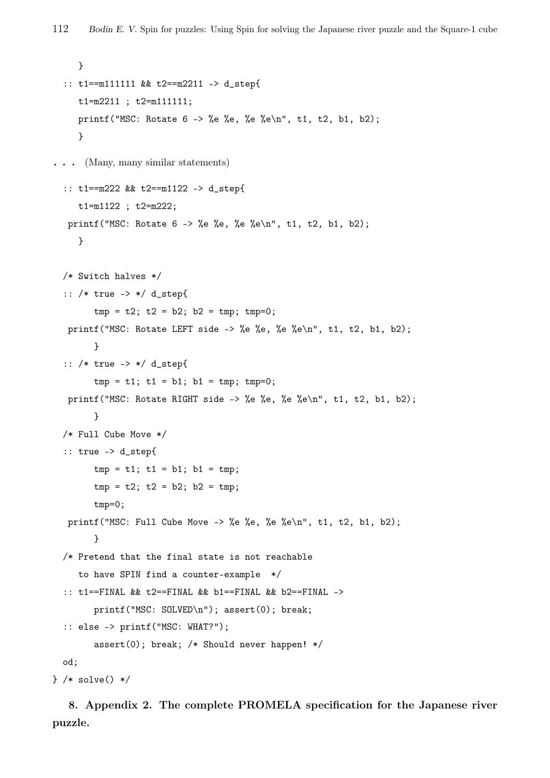```
}
  :: t1==m111111 && t2==m2211 -> d_step{
     t1=m2211 ; t2=m111111;
     printf("MSC: Rotate 6 \rightarrow \%e, \ee \", t1, t2, b1, b2);
     }
. . . (Many, many similar statements)
  :: t1==m222 && t2==m1122 -> d_step{
     t1=m1122 ; t2=m222;
   printf("MSC: Rotate 6 -> %e %e, %e %e\n", t1, t2, b1, b2);
     }
  /* Switch halves */
  :: /* true -> */ d_step{
        tmp = t2; t2 = b2; b2 = tmp; tmp=0;printf("MSC: Rotate LEFT side -> %e %e, %e %e\n", t1, t2, b1, b2);
        }
  :: /* true -> */ d_step{
        tmp = t1; t1 = b1; b1 = tmp; tmp=0;printf("MSC: Rotate RIGHT side -> %e %e, %e %e\n", t1, t2, b1, b2);
        }
  /* Full Cube Move */
  :: true -> d_step{
        tmp = t1; t1 = b1; b1 = tmp;tmp = t2; t2 = b2; b2 = tmp;tmp=0;
   printf("MSC: Full Cube Move -> %e %e, %e %e\n", t1, t2, b1, b2);
        }
  /* Pretend that the final state is not reachable
     to have SPIN find a counter-example */
  :: t1==FINAL && t2==FINAL && b1==FINAL && b2==FINAL ->
        printf("MSC: SOLVED\n"); assert(0); break;
  :: else -> printf("MSC: WHAT?");
        assert(0); break; /* Should never happen! */
  od;
} /* solve() */
```
8. Appendix 2. The complete PROMELA specification for the Japanese river puzzle.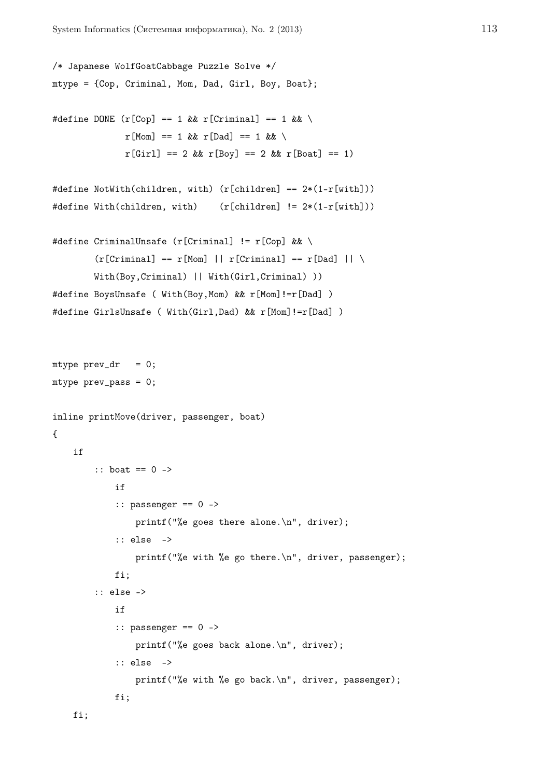```
/* Japanese WolfGoatCabbage Puzzle Solve */
mtype = {Cop, Criminal, Mom, Dad, Girl, Boy, Boat};
#define DONE (r[Cop] == 1 \&r[Criminal] == 1 \&x \wedger[Mon] == 1 & r[Dad] == 1 & \setminusr[Girl] == 2 \&r[Boy] == 2 \&r[Boat] == 1)#define NotWith(children, with) (r[children] == 2*(1-r[with]))
#define With(children, with) (r[children] != 2*(1-r[with]))
#define CriminalUnsafe (r[Criminal] != r[Cop] && \
        (r[Criminal] == r[Mon] || r[Criminal] == r[Dad] || \setminusWith(Boy, Criminal) || With(Girl, Criminal) ))
#define BoysUnsafe ( With(Boy,Mom) && r[Mom]!=r[Dad] )
#define GirlsUnsafe ( With(Girl,Dad) && r[Mom]!=r[Dad] )
mtype prev\_dr = 0;
mtype prev_pass = 0;
inline printMove(driver, passenger, boat)
{
    if
        :: boat == 0 ->
            if
            :: passenger == 0 ->
                printf("%e goes there alone.\n", driver);
            :: else ->
                printf("%e with %e go there.\n", driver, passenger);
            fi;
        :: else ->
            if
            :: passenger == 0 ->
                printf("%e goes back alone.\n", driver);
            :: else ->
                printf("%e with %e go back.\n", driver, passenger);
            fi;
    fi;
```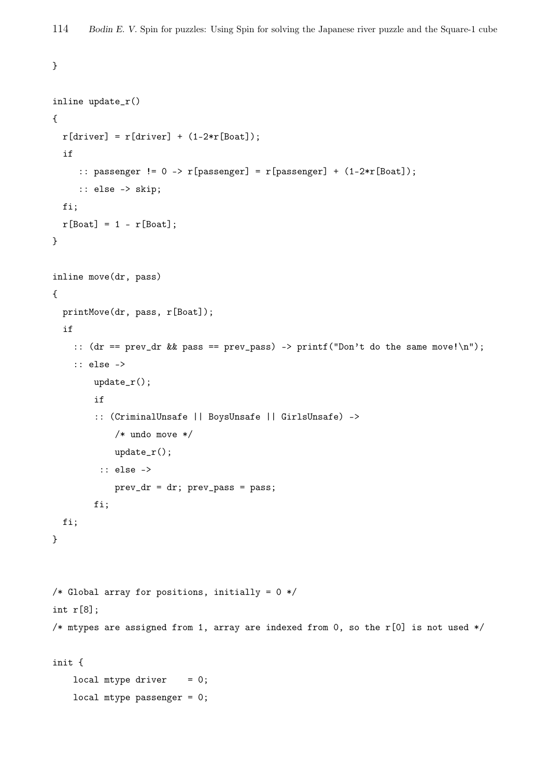}

```
inline update_r()
{
  r[driver] = r[driver] + (1-2*r[Boat]);if
     :: passenger != 0 -> r[passenger] = r[passenger] + (1-2*r[Boat]);
     :: else -> skip;
  fi;
  r[Boat] = 1 - r[Boat];}
inline move(dr, pass)
{
 printMove(dr, pass, r[Boat]);
  if
    :: (dr == prev_dr \& pass == prev_pas) \rightarrow print('Don't do the same move! \n':: else ->
        update_r();
        if
        :: (CriminalUnsafe || BoysUnsafe || GirlsUnsafe) ->
            /* undo move */
            update_r();
         :: else ->
            prev_dr = dr; prev_pass = pass;
        fi;
  fi;
}
/* Global array for positions, initially = 0 */
int r[8];
/* mtypes are assigned from 1, array are indexed from 0, so the r[0] is not used */
init {
    local mtype driver = 0;
    local mtype passenger = 0;
```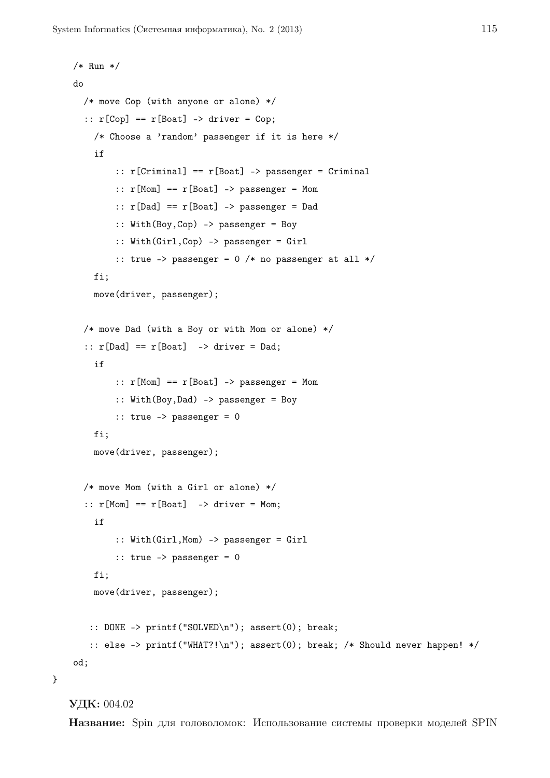```
/* Run */
do
  /* move Cop (with anyone or alone) */
  :: r[Cop] == r[Boat] -> driver = Cop;/* Choose a 'random' passenger if it is here */
    if
        :: r[Criminal] == r[Boat] -> passenger = Criminal:: r[Mom] == r[Boat] \rightarrow passenger = Mom:: r[Dad] == r[Boat] -> passenger = Dad
        :: With(Boy,Cop) -> passenger = Boy
        :: With(Girl,Cop) -> passenger = Girl
        :: true -> passenger = 0 /* no passenger at all */
    fi;
    move(driver, passenger);
  /* move Dad (with a Boy or with Mom or alone) */
  :: r[Dad] == r[Boat] -> driver = Dad;if
        :: r[Mom] == r[Boat] -> passenger = Mom
        :: With(Boy,Dad) -> passenger = Boy
        \therefore true \rightarrow passenger = 0
    fi;
    move(driver, passenger);
  /* move Mom (with a Girl or alone) */
  :: r[Mom] == r[Boat] -> driver = Mom;if
        :: With(Girl,Mom) -> passenger = Girl
        :: true -> passenger = 0
    fi;
    move(driver, passenger);
   :: DONE -> printf("SOLVED\n"); assert(0); break;
   :: else -> printf("WHAT?!\n"); assert(0); break; /* Should never happen! */
od;
```

```
УДК: 004.02
```
}

Название: Spin для головоломок: Использование системы проверки моделей SPIN